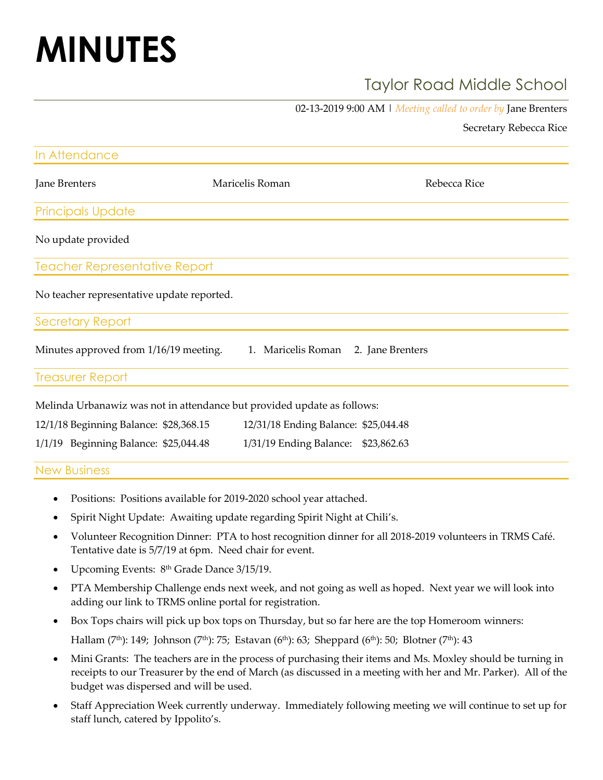# **MINUTES**

# Taylor Road Middle School

02-13-2019 9:00 AM | *Meeting called to order by* Jane Brenters

Secretary Rebecca Rice

| In Attendance                              |                                                                         |                                      |
|--------------------------------------------|-------------------------------------------------------------------------|--------------------------------------|
| Jane Brenters                              | Maricelis Roman                                                         | Rebecca Rice                         |
| <b>Principals Update</b>                   |                                                                         |                                      |
| No update provided                         |                                                                         |                                      |
| <b>Teacher Representative Report</b>       |                                                                         |                                      |
| No teacher representative update reported. |                                                                         |                                      |
| <b>Secretary Report</b>                    |                                                                         |                                      |
| Minutes approved from 1/16/19 meeting.     |                                                                         | 1. Maricelis Roman 2. Jane Brenters  |
| <b>Treasurer Report</b>                    |                                                                         |                                      |
|                                            | Melinda Urbanawiz was not in attendance but provided update as follows: |                                      |
| 12/1/18 Beginning Balance: \$28,368.15     |                                                                         | 12/31/18 Ending Balance: \$25,044.48 |
| 1/1/19 Beginning Balance: \$25,044.48      | 1/31/19 Ending Balance:                                                 | \$23,862.63                          |
| <b>New Business</b>                        |                                                                         |                                      |

- Positions: Positions available for 2019-2020 school year attached.
- Spirit Night Update: Awaiting update regarding Spirit Night at Chili's.
- Volunteer Recognition Dinner: PTA to host recognition dinner for all 2018-2019 volunteers in TRMS Café. Tentative date is 5/7/19 at 6pm. Need chair for event.
- Upcoming Events: 8<sup>th</sup> Grade Dance 3/15/19.
- PTA Membership Challenge ends next week, and not going as well as hoped. Next year we will look into adding our link to TRMS online portal for registration.
- Box Tops chairs will pick up box tops on Thursday, but so far here are the top Homeroom winners: Hallam (7<sup>th</sup>): 149; Johnson (7<sup>th</sup>): 75; Estavan (6<sup>th</sup>): 63; Sheppard (6<sup>th</sup>): 50; Blotner (7<sup>th</sup>): 43
- Mini Grants: The teachers are in the process of purchasing their items and Ms. Moxley should be turning in receipts to our Treasurer by the end of March (as discussed in a meeting with her and Mr. Parker). All of the budget was dispersed and will be used.
- Staff Appreciation Week currently underway. Immediately following meeting we will continue to set up for staff lunch, catered by Ippolito's.